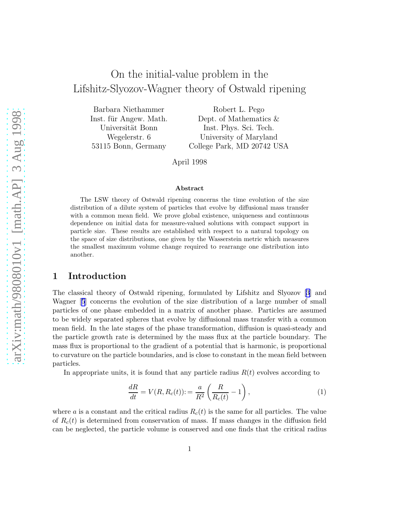# <span id="page-0-0"></span>On the initial-value problem in the Lifshitz-Slyozov-Wagner theory of Ostwald ripening

Barbara Niethammer Inst. für Angew. Math. Universität Bonn Wegelerstr. 6 53115 Bonn, Germany

Robert L. Pego Dept. of Mathematics & Inst. Phys. Sci. Tech. University of Maryland College Park, MD 20742 USA

April 1998

#### Abstract

The LSW theory of Ostwald ripening concerns the time evolution of the size distribution of a dilute system of particles that evolve by diffusional mass transfer with a common mean field. We prove global existence, uniqueness and continuous dependence on initial data for measure-valued solutions with compact support in particle size. These results are established with respect to a natural topology on the space of size distributions, one given by the Wasserstein metric which measures the smallest maximum volume change required to rearrange one distribution into another.

#### 1 Introduction

The classical theory of Ostwald ripening, formulated by Lifshitz and Slyozov[[3](#page-20-0)] and Wagner[[5](#page-20-0)] concerns the evolution of the size distribution of a large number of small particles of one phase embedded in a matrix of another phase. Particles are assumed to be widely separated spheres that evolve by diffusional mass transfer with a common mean field. In the late stages of the phase transformation, diffusion is quasi-steady and the particle growth rate is determined by the mass flux at the particle boundary. The mass flux is proportional to the gradient of a potential that is harmonic, is proportional to curvature on the particle boundaries, and is close to constant in the mean field between particles.

In appropriate units, it is found that any particle radius  $R(t)$  evolves according to

$$
\frac{dR}{dt} = V(R, R_c(t)) := \frac{a}{R^2} \left( \frac{R}{R_c(t)} - 1 \right),\tag{1}
$$

where a is a constant and the critical radius  $R_c(t)$  is the same for all particles. The value of  $R_c(t)$  is determined from conservation of mass. If mass changes in the diffusion field can be neglected, the particle volume is conserved and one finds that the critical radius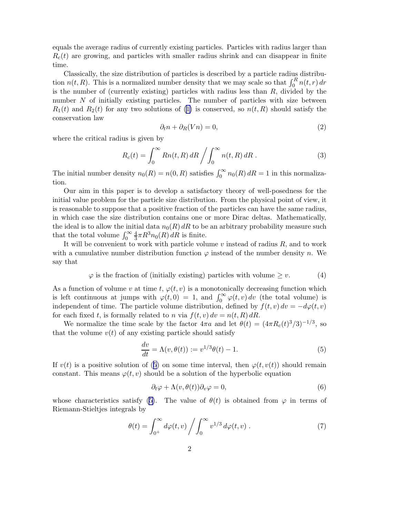<span id="page-1-0"></span>equals the average radius of currently existing particles. Particles with radius larger than  $R_c(t)$  are growing, and particles with smaller radius shrink and can disappear in finite time.

Classically, the size distribution of particles is described by a particle radius distribution  $n(t, R)$ . This is a normalized number density that we may scale so that  $\int_0^R n(t, r) dr$ is the number of (currently existing) particles with radius less than  $R$ , divided by the number  $N$  of initially existing particles. The number of particles with size between  $R_1(t)$  and  $R_2(t)$  for any two solutions of [\(1\)](#page-0-0) is conserved, so  $n(t, R)$  should satisfy the conservation law

$$
\partial_t n + \partial_R (V n) = 0,\t\t(2)
$$

where the critical radius is given by

$$
R_c(t) = \int_0^\infty Rn(t, R) dR / \int_0^\infty n(t, R) dR . \tag{3}
$$

The initial number density  $n_0(R) = n(0, R)$  satisfies  $\int_0^\infty n_0(R) dR = 1$  in this normalization.

Our aim in this paper is to develop a satisfactory theory of well-posedness for the initial value problem for the particle size distribution. From the physical point of view, it is reasonable to suppose that a positive fraction of the particles can have the same radius, in which case the size distribution contains one or more Dirac deltas. Mathematically, the ideal is to allow the initial data  $n_0(R) dR$  to be an arbitrary probability measure such that the total volume  $\int_0^\infty$ 4  $\frac{4}{3}\pi R^3 n_0(R) dR$  is finite.

It will be convenient to work with particle volume  $v$  instead of radius  $R$ , and to work with a cumulative number distribution function  $\varphi$  instead of the number density n. We say that

$$
\varphi \text{ is the fraction of (initially existing) particles with volume } \ge v. \tag{4}
$$

As a function of volume v at time t,  $\varphi(t, v)$  is a monotonically decreasing function which is left continuous at jumps with  $\varphi(t,0) = 1$ , and  $\int_0^\infty \varphi(t,v) dv$  (the total volume) is independent of time. The particle volume distribution, defined by  $f(t, v) dv = -d\varphi(t, v)$ for each fixed t, is formally related to n via  $f(t, v) dv = n(t, R) dR$ .

We normalize the time scale by the factor  $4\pi a$  and let  $\theta(t) = (4\pi R_c(t)^3/3)^{-1/3}$ , so that the volume  $v(t)$  of any existing particle should satisfy

$$
\frac{dv}{dt} = \Lambda(v, \theta(t)) := v^{1/3}\theta(t) - 1.
$$
\n(5)

If  $v(t)$  is a positive solution of (5) on some time interval, then  $\varphi(t, v(t))$  should remain constant. This means  $\varphi(t, v)$  should be a solution of the hyperbolic equation

$$
\partial_t \varphi + \Lambda(v, \theta(t)) \partial_v \varphi = 0, \tag{6}
$$

whose characteristics satisfy (5). The value of  $\theta(t)$  is obtained from  $\varphi$  in terms of Riemann-Stieltjes integrals by

$$
\theta(t) = \int_{0^+}^{\infty} d\varphi(t, v) \left/ \int_0^{\infty} v^{1/3} d\varphi(t, v) \right. \tag{7}
$$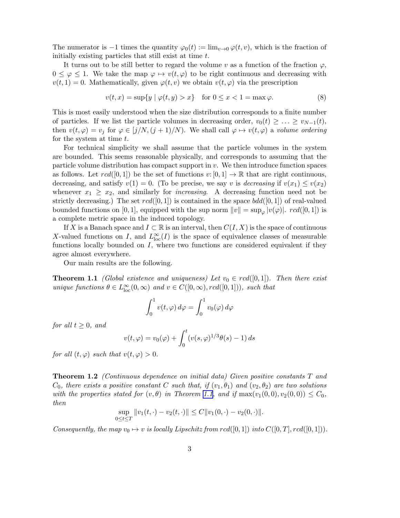<span id="page-2-0"></span>The numerator is  $-1$  times the quantity  $\varphi_0(t) := \lim_{v \to 0} \varphi(t, v)$ , which is the fraction of initially existing particles that still exist at time t.

It turns out to be still better to regard the volume v as a function of the fraction  $\varphi$ ,  $0 \leq \varphi \leq 1$ . We take the map  $\varphi \mapsto v(t, \varphi)$  to be right continuous and decreasing with  $v(t, 1) = 0$ . Mathematically, given  $\varphi(t, v)$  we obtain  $v(t, \varphi)$  via the prescription

$$
v(t,x) = \sup\{y \mid \varphi(t,y) > x\} \quad \text{for } 0 \le x < 1 = \max \varphi. \tag{8}
$$

This is most easily understood when the size distribution corresponds to a finite number of particles. If we list the particle volumes in decreasing order,  $v_0(t) \geq \ldots \geq v_{N-1}(t)$ , then  $v(t, \varphi) = v_j$  for  $\varphi \in [j/N, (j + 1)/N)$ . We shall call  $\varphi \mapsto v(t, \varphi)$  a *volume ordering* for the system at time  $t$ .

For technical simplicity we shall assume that the particle volumes in the system are bounded. This seems reasonable physically, and corresponds to assuming that the particle volume distribution has compact support in  $v$ . We then introduce function spaces as follows. Let  $rcd([0, 1])$  be the set of functions  $v: [0, 1] \to \mathbb{R}$  that are right continuous, decreasing, and satisfy  $v(1) = 0$ . (To be precise, we say v is *decreasing* if  $v(x_1) \le v(x_2)$ ) whenever  $x_1 \geq x_2$ , and similarly for *increasing*. A decreasing function need not be strictly decreasing.) The set  $rcd([0,1])$  is contained in the space  $bdd([0,1])$  of real-valued bounded functions on [0, 1], equipped with the sup norm  $||v|| = \sup_{\varphi} |v(\varphi)|$ .  $rcd([0, 1])$  is a complete metric space in the induced topology.

If X is a Banach space and  $I \subset \mathbb{R}$  is an interval, then  $C(I, X)$  is the space of continuous X-valued functions on I, and  $L^{\infty}_{loc}(I)$  is the space of equivalence classes of measurable functions locally bounded on  $I$ , where two functions are considered equivalent if they agree almost everywhere.

Our main results are the following.

**Theorem 1.1** *(Global existence and uniqueness)* Let  $v_0 \in \text{rcd}([0,1])$ . Then there exist *unique functions*  $\theta \in L^{\infty}_{loc}(0, \infty)$  *and*  $v \in C([0, \infty), red([0, 1]))$ *, such that* 

$$
\int_0^1 v(t,\varphi) \, d\varphi = \int_0^1 v_0(\varphi) \, d\varphi
$$

*for all*  $t \geq 0$ *, and* 

$$
v(t, \varphi) = v_0(\varphi) + \int_0^t (v(s, \varphi)^{1/3} \theta(s) - 1) ds
$$

*for all*  $(t, \varphi)$  *such that*  $v(t, \varphi) > 0$ *.* 

Theorem 1.2 *(Continuous dependence on initial data) Given positive constants* T *and*  $C_0$ , there exists a positive constant C such that, if  $(v_1, \theta_1)$  and  $(v_2, \theta_2)$  are two solutions *with the properties stated for*  $(v, \theta)$  *in Theorem 1.1, and if*  $max(v_1(0, 0), v_2(0, 0)) \leq C_0$ *, then*

$$
\sup_{0 \le t \le T} ||v_1(t, \cdot) - v_2(t, \cdot)|| \le C ||v_1(0, \cdot) - v_2(0, \cdot)||.
$$

*Consequently, the map*  $v_0 \mapsto v$  *is locally Lipschitz from*  $rcd([0, 1])$  *into*  $C([0, T], rcd([0, 1]))$ *.*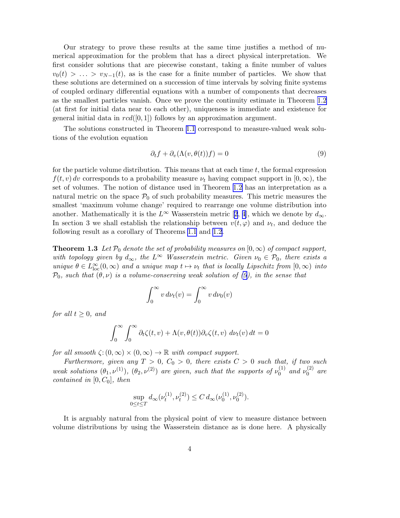<span id="page-3-0"></span>Our strategy to prove these results at the same time justifies a method of numerical approximation for the problem that has a direct physical interpretation. We first consider solutions that are piecewise constant, taking a finite number of values  $v_0(t) > \ldots > v_{N-1}(t)$ , as is the case for a finite number of particles. We show that these solutions are determined on a succession of time intervals by solving finite systems of coupled ordinary differential equations with a number of components that decreases as the smallest particles vanish. Once we prove the continuity estimate in Theorem [1.2](#page-2-0) (at first for initial data near to each other), uniqueness is immediate and existence for general initial data in  $rcd([0,1])$  follows by an approximation argument.

The solutions constructed in Theorem [1.1](#page-2-0) correspond to measure-valued weak solutions of the evolution equation

$$
\partial_t f + \partial_v(\Lambda(v, \theta(t))f) = 0 \tag{9}
$$

for the particle volume distribution. This means that at each time  $t$ , the formal expression  $f(t, v)$  dv corresponds to a probability measure  $\nu_t$  having compact support in  $[0, \infty)$ , the set of volumes. The notion of distance used in Theorem [1.2](#page-2-0) has an interpretation as a natural metric on the space  $P_0$  of such probability measures. This metric measures the smallest 'maximum volume change' required to rearrange one volume distribution into another.Mathematically it is the  $L^{\infty}$  Wasserstein metric [[2](#page-20-0), [4](#page-20-0)], which we denote by  $d_{\infty}$ . In section 3 we shall establish the relationship between  $v(t, \varphi)$  and  $\nu_t$ , and deduce the following result as a corollary of Theorems [1.1](#page-2-0) and [1.2.](#page-2-0)

**Theorem 1.3** Let  $\mathcal{P}_0$  denote the set of probability measures on  $[0,\infty)$  of compact support, *with topology given by*  $d_{\infty}$ *, the*  $L^{\infty}$  *Wasserstein metric. Given*  $\nu_0 \in \mathcal{P}_0$ *, there exists a unique*  $\theta \in L^{\infty}_{loc}(0, \infty)$  *and a unique map*  $t \mapsto \nu_t$  *that is locally Lipschitz from*  $[0, \infty)$  *into*  $\mathcal{P}_0$ *, such that*  $(\theta, \nu)$  *is a volume-conserving weak solution of (9), in the sense that* 

$$
\int_0^\infty v \, d\nu_t(v) = \int_0^\infty v \, d\nu_0(v)
$$

*for all*  $t > 0$ *, and* 

$$
\int_0^\infty \int_0^\infty \partial_t \zeta(t, v) + \Lambda(v, \theta(t)) \partial_v \zeta(t, v) \, d\nu_t(v) \, dt = 0
$$

*for all smooth*  $\zeta$ :  $(0, \infty) \times (0, \infty) \to \mathbb{R}$  *with compact support.* 

*Furthermore, given any*  $T > 0$ ,  $C_0 > 0$ , there exists  $C > 0$  such that, if two such *weak solutions*  $(\theta_1, \nu^{(1)})$ ,  $(\theta_2, \nu^{(2)})$  *are given, such that the supports of*  $\nu_0^{(1)}$  $\int_0^{(1)}$  and  $\nu_0^{(2)}$  $a_0^{(2)}$  are *contained in*  $[0, C_0]$ *, then* 

$$
\sup_{0 \le t \le T} d_{\infty}(\nu_t^{(1)}, \nu_t^{(2)}) \le C d_{\infty}(\nu_0^{(1)}, \nu_0^{(2)}).
$$

It is arguably natural from the physical point of view to measure distance between volume distributions by using the Wasserstein distance as is done here. A physically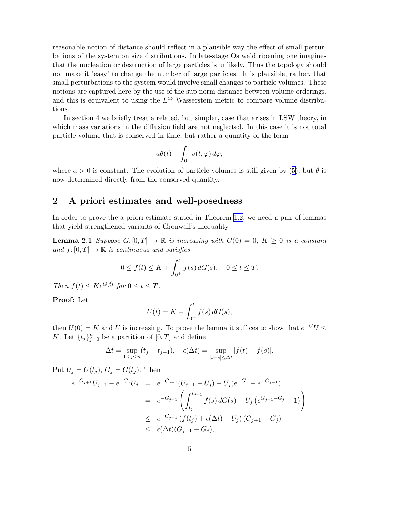<span id="page-4-0"></span>reasonable notion of distance should reflect in a plausible way the effect of small perturbations of the system on size distributions. In late-stage Ostwald ripening one imagines that the nucleation or destruction of large particles is unlikely. Thus the topology should not make it 'easy' to change the number of large particles. It is plausible, rather, that small perturbations to the system would involve small changes to particle volumes. These notions are captured here by the use of the sup norm distance between volume orderings, and this is equivalent to using the  $L^{\infty}$  Wasserstein metric to compare volume distributions.

In section 4 we briefly treat a related, but simpler, case that arises in LSW theory, in which mass variations in the diffusion field are not neglected. In this case it is not total particle volume that is conserved in time, but rather a quantity of the form

$$
a\theta(t) + \int_0^1 v(t,\varphi) \, d\varphi,
$$

where $a > 0$  is constant. The evolution of particle volumes is still given by ([5](#page-1-0)), but  $\theta$  is now determined directly from the conserved quantity.

### 2 A priori estimates and well-posedness

In order to prove the a priori estimate stated in Theorem [1.2](#page-2-0), we need a pair of lemmas that yield strengthened variants of Gronwall's inequality.

**Lemma 2.1** *Suppose*  $G: [0, T] \to \mathbb{R}$  *is increasing with*  $G(0) = 0$ ,  $K \geq 0$  *is a constant and*  $f: [0, T] \to \mathbb{R}$  *is continuous and satisfies* 

$$
0 \le f(t) \le K + \int_{0^+}^{t} f(s) dG(s), \quad 0 \le t \le T.
$$

*Then*  $f(t) \leq Ke^{G(t)}$  for  $0 \leq t \leq T$ .

Proof: Let

$$
U(t) = K + \int_{0^+}^{t} f(s) \, dG(s),
$$

then  $U(0) = K$  and U is increasing. To prove the lemma it suffices to show that  $e^{-G}U \leq$ K. Let  $\{t_j\}_{j=0}^n$  be a partition of  $[0, T]$  and define

$$
\Delta t = \sup_{1 \le j \le n} (t_j - t_{j-1}), \quad \epsilon(\Delta t) = \sup_{|t-s| \le \Delta t} |f(t) - f(s)|.
$$

Put  $U_j = U(t_j)$ ,  $G_j = G(t_j)$ . Then

$$
e^{-G_{j+1}}U_{j+1} - e^{-G_j}U_j = e^{-G_{j+1}}(U_{j+1} - U_j) - U_j(e^{-G_j} - e^{-G_{j+1}})
$$
  
=  $e^{-G_{j+1}} \left( \int_{t_j}^{t_{j+1}} f(s) dG(s) - U_j(e^{G_{j+1} - G_j} - 1) \right)$   
 $\leq e^{-G_{j+1}} (f(t_j) + \epsilon(\Delta t) - U_j) (G_{j+1} - G_j)$   
 $\leq \epsilon(\Delta t)(G_{j+1} - G_j),$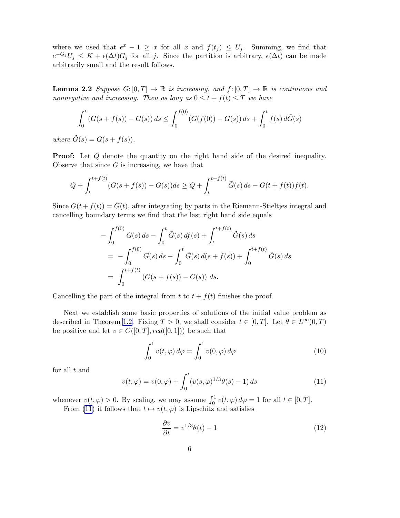<span id="page-5-0"></span>where we used that  $e^x - 1 \geq x$  for all x and  $f(t_j) \leq U_j$ . Summing, we find that  $e^{-G_j}U_j \leq K + \epsilon(\Delta t)G_j$  for all j. Since the partition is arbitrary,  $\epsilon(\Delta t)$  can be made arbitrarily small and the result follows.

**Lemma 2.2** *Suppose*  $G: [0, T] \to \mathbb{R}$  *is increasing, and*  $f: [0, T] \to \mathbb{R}$  *is continuous and nonnegative and increasing. Then as long as*  $0 \le t + f(t) \le T$  *we have* 

$$
\int_0^t (G(s+f(s)) - G(s)) ds \le \int_0^{f(0)} (G(f(0)) - G(s)) ds + \int_0^t f(s) d\tilde{G}(s)
$$

*where*  $\tilde{G}(s) = G(s + f(s)).$ 

**Proof:** Let Q denote the quantity on the right hand side of the desired inequality. Observe that since  $G$  is increasing, we have that

$$
Q + \int_{t}^{t+f(t)} (G(s+f(s)) - G(s))ds \ge Q + \int_{t}^{t+f(t)} \tilde{G}(s) ds - G(t+f(t))f(t).
$$

Since  $G(t + f(t)) = \tilde{G}(t)$ , after integrating by parts in the Riemann-Stieltjes integral and cancelling boundary terms we find that the last right hand side equals

$$
-\int_0^{f(0)} G(s) ds - \int_0^t \tilde{G}(s) df(s) + \int_t^{t+f(t)} \tilde{G}(s) ds
$$
  
= 
$$
-\int_0^{f(0)} G(s) ds - \int_0^t \tilde{G}(s) d(s + f(s)) + \int_0^{t+f(t)} \tilde{G}(s) ds
$$
  
= 
$$
\int_0^{t+f(t)} (G(s+f(s)) - G(s)) ds.
$$

Cancelling the part of the integral from t to  $t + f(t)$  finishes the proof.

Next we establish some basic properties of solutions of the initial value problem as described in Theorem [1.2](#page-2-0). Fixing  $T > 0$ , we shall consider  $t \in [0, T]$ . Let  $\theta \in L^{\infty}(0, T)$ be positive and let  $v \in C([0, T], rcd([0, 1]))$  be such that

$$
\int_0^1 v(t,\varphi) \, d\varphi = \int_0^1 v(0,\varphi) \, d\varphi \tag{10}
$$

for all  $t$  and

$$
v(t, \varphi) = v(0, \varphi) + \int_0^t (v(s, \varphi)^{1/3} \theta(s) - 1) ds \tag{11}
$$

whenever  $v(t, \varphi) > 0$ . By scaling, we may assume  $\int_0^1 v(t, \varphi) d\varphi = 1$  for all  $t \in [0, T]$ . From (11) it follows that  $t \mapsto v(t, \varphi)$  is Lipschitz and satisfies

$$
\frac{\partial v}{\partial t} = v^{1/3}\theta(t) - 1\tag{12}
$$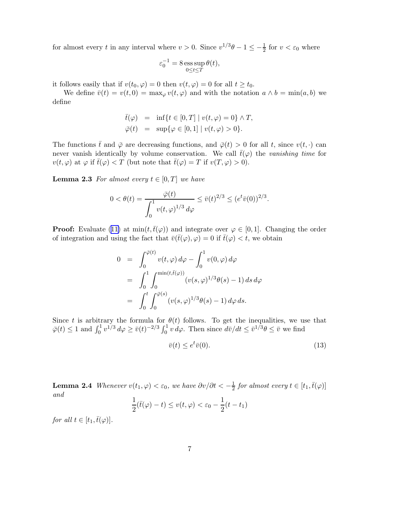<span id="page-6-0"></span>for almost every t in any interval where  $v > 0$ . Since  $v^{1/3}\theta - 1 \le -\frac{1}{2}$  for  $v < \varepsilon_0$  where

$$
\varepsilon_0^{-1} = 8 \operatorname*{ess\,sup}_{0 \le t \le T} \theta(t),
$$

it follows easily that if  $v(t_0, \varphi) = 0$  then  $v(t, \varphi) = 0$  for all  $t \geq t_0$ .

We define  $\bar{v}(t) = v(t, 0) = \max_{\varphi} v(t, \varphi)$  and with the notation  $a \wedge b = \min(a, b)$  we define

$$
\bar{t}(\varphi) = \inf \{ t \in [0, T] \mid v(t, \varphi) = 0 \} \wedge T, \n\bar{\varphi}(t) = \sup \{ \varphi \in [0, 1] \mid v(t, \varphi) > 0 \}.
$$

The functions  $\bar{t}$  and  $\bar{\varphi}$  are decreasing functions, and  $\bar{\varphi}(t) > 0$  for all t, since  $v(t, \cdot)$  can never vanish identically by volume conservation. We call  $\bar{t}(\varphi)$  the *vanishing time* for  $v(t, \varphi)$  at  $\varphi$  if  $\bar{t}(\varphi) < T$  (but note that  $\bar{t}(\varphi) = T$  if  $v(T, \varphi) > 0$ ).

**Lemma 2.3** For almost every  $t \in [0, T]$  we have

$$
0 < \theta(t) = \frac{\overline{\varphi}(t)}{\int_0^1 v(t,\varphi)^{1/3} d\varphi} \le \overline{v}(t)^{2/3} \le (e^t \overline{v}(0))^{2/3}.
$$

**Proof:**Evaluate ([11\)](#page-5-0) at  $\min(t, \bar{t}(\varphi))$  and integrate over  $\varphi \in [0, 1]$ . Changing the order of integration and using the fact that  $\bar{v}(\bar{t}(\varphi), \varphi) = 0$  if  $\bar{t}(\varphi) < t$ , we obtain

$$
0 = \int_0^{\overline{\varphi}(t)} v(t, \varphi) d\varphi - \int_0^1 v(0, \varphi) d\varphi
$$
  
= 
$$
\int_0^1 \int_0^{\min(t, \overline{t}(\varphi))} (v(s, \varphi)^{1/3} \theta(s) - 1) ds d\varphi
$$
  
= 
$$
\int_0^t \int_0^{\overline{\varphi}(s)} (v(s, \varphi)^{1/3} \theta(s) - 1) d\varphi ds.
$$

Since t is arbitrary the formula for  $\theta(t)$  follows. To get the inequalities, we use that  $\overline{\varphi}(t) \leq 1$  and  $\int_0^1 v^{1/3} d\varphi \geq \overline{v}(t)^{-2/3} \int_0^1 v \, d\varphi$ . Then since  $d\overline{v}/dt \leq \overline{v}^{1/3} \theta \leq \overline{v}$  we find

$$
\bar{v}(t) \le e^t \bar{v}(0). \tag{13}
$$

**Lemma 2.4** *Whenever*  $v(t_1, \varphi) < \varepsilon_0$ , we have  $\frac{\partial v}{\partial t} < -\frac{1}{2}$  $\frac{1}{2}$  for almost every  $t \in [t_1, \bar{t}(\varphi)]$ *and*

$$
\frac{1}{2}(\bar{t}(\varphi) - t) \le v(t, \varphi) < \varepsilon_0 - \frac{1}{2}(t - t_1)
$$

*for all*  $t \in [t_1, \overline{t}(\varphi)]$ *.*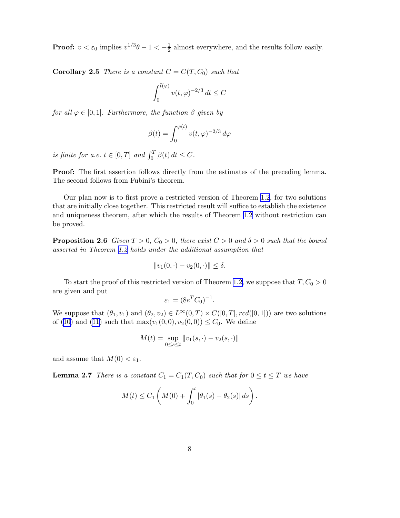<span id="page-7-0"></span>**Proof:**  $v < \varepsilon_0$  implies  $v^{1/3}\theta - 1 < -\frac{1}{2}$  $\frac{1}{2}$  almost everywhere, and the results follow easily.

**Corollary 2.5** *There is a constant*  $C = C(T, C_0)$  *such that* 

$$
\int_0^{\bar{t}(\varphi)} v(t,\varphi)^{-2/3} dt \le C
$$

*for all*  $\varphi \in [0, 1]$ *. Furthermore, the function*  $\beta$  *given by* 

$$
\beta(t) = \int_0^{\bar{\varphi}(t)} v(t,\varphi)^{-2/3} d\varphi
$$

*is finite for a.e.*  $t \in [0, T]$  *and*  $\int_0^T \beta(t) dt \leq C$ .

Proof: The first assertion follows directly from the estimates of the preceding lemma. The second follows from Fubini's theorem.

Our plan now is to first prove a restricted version of Theorem [1.2](#page-2-0), for two solutions that are initially close together. This restricted result will suffice to establish the existence and uniqueness theorem, after which the results of Theorem [1.2](#page-2-0) without restriction can be proved.

**Proposition 2.6** *Given*  $T > 0$ ,  $C_0 > 0$ , *there exist*  $C > 0$  *and*  $\delta > 0$  *such that the bound asserted in Theorem [1.2](#page-2-0) holds under the additional assumption that*

$$
||v_1(0, \cdot) - v_2(0, \cdot)|| \le \delta.
$$

To start the proof of this restricted version of Theorem [1.2,](#page-2-0) we suppose that  $T, C_0 > 0$ are given and put

$$
\varepsilon_1 = (8e^T C_0)^{-1}
$$

.

We suppose that  $(\theta_1, v_1)$  and  $(\theta_2, v_2) \in L^{\infty}(0, T) \times C([0, T], red([0, 1]))$  are two solutions of [\(10\)](#page-5-0) and [\(11](#page-5-0)) such that  $\max(v_1(0, 0), v_2(0, 0)) \leq C_0$ . We define

$$
M(t) = \sup_{0 \le s \le t} ||v_1(s, \cdot) - v_2(s, \cdot)||
$$

and assume that  $M(0) < \varepsilon_1$ .

**Lemma 2.7** *There is a constant*  $C_1 = C_1(T, C_0)$  *such that for*  $0 \le t \le T$  *we have* 

$$
M(t) \leq C_1 \left( M(0) + \int_0^t |\theta_1(s) - \theta_2(s)| ds \right).
$$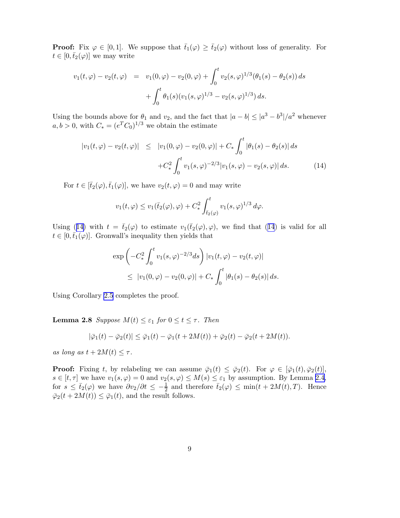<span id="page-8-0"></span>**Proof:** Fix  $\varphi \in [0, 1]$ . We suppose that  $\bar{t}_1(\varphi) \geq \bar{t}_2(\varphi)$  without loss of generality. For  $t \in [0, \bar{t}_2(\varphi)]$  we may write

$$
v_1(t,\varphi) - v_2(t,\varphi) = v_1(0,\varphi) - v_2(0,\varphi) + \int_0^t v_2(s,\varphi)^{1/3}(\theta_1(s) - \theta_2(s)) ds
$$
  
+ 
$$
\int_0^t \theta_1(s)(v_1(s,\varphi)^{1/3} - v_2(s,\varphi)^{1/3}) ds.
$$

Using the bounds above for  $\theta_1$  and  $v_2$ , and the fact that  $|a - b| \leq |a^3 - b^3|/a^2$  whenever  $a, b > 0$ , with  $C_* = (e^T C_0)^{1/3}$  we obtain the estimate

$$
|v_1(t,\varphi) - v_2(t,\varphi)| \leq |v_1(0,\varphi) - v_2(0,\varphi)| + C_* \int_0^t |\theta_1(s) - \theta_2(s)| ds
$$
  
+
$$
C_*^2 \int_0^t v_1(s,\varphi)^{-2/3} |v_1(s,\varphi) - v_2(s,\varphi)| ds. \tag{14}
$$

For  $t \in [\bar{t}_2(\varphi), \bar{t}_1(\varphi)]$ , we have  $v_2(t, \varphi) = 0$  and may write

$$
v_1(t,\varphi) \le v_1(\bar{t}_2(\varphi),\varphi) + C_*^2 \int_{\bar{t}_2(\varphi)}^t v_1(s,\varphi)^{1/3} d\varphi.
$$

Using (14) with  $t = \bar{t}_2(\varphi)$  to estimate  $v_1(\bar{t}_2(\varphi), \varphi)$ , we find that (14) is valid for all  $t \in [0, \bar{t}_1(\varphi)]$ . Gronwall's inequality then yields that

$$
\exp\left(-C_*^2 \int_0^t v_1(s,\varphi)^{-2/3} ds\right) |v_1(t,\varphi) - v_2(t,\varphi)|
$$
  

$$
\leq |v_1(0,\varphi) - v_2(0,\varphi)| + C_* \int_0^t |\theta_1(s) - \theta_2(s)| ds.
$$

Using Corollary [2.5](#page-7-0) completes the proof.

**Lemma 2.8** *Suppose*  $M(t) \leq \varepsilon_1$  *for*  $0 \leq t \leq \tau$ *. Then* 

$$
|\bar{\varphi}_1(t) - \bar{\varphi}_2(t)| \le \bar{\varphi}_1(t) - \bar{\varphi}_1(t + 2M(t)) + \bar{\varphi}_2(t) - \bar{\varphi}_2(t + 2M(t)).
$$

*as long as*  $t + 2M(t) \leq \tau$ .

**Proof:** Fixing t, by relabeling we can assume  $\bar{\varphi}_1(t) \leq \bar{\varphi}_2(t)$ . For  $\varphi \in [\bar{\varphi}_1(t), \bar{\varphi}_2(t)]$ ,  $s \in [t, \tau]$  we have  $v_1(s, \varphi) = 0$  and  $v_2(s, \varphi) \leq M(s) \leq \varepsilon_1$  by assumption. By Lemma [2.4,](#page-6-0) for  $s \leq \bar{t}_2(\varphi)$  we have  $\partial v_2/\partial t \leq -\frac{1}{2}$  and therefore  $\bar{t}_2(\varphi) \leq \min(t + 2M(t), T)$ . Hence  $\overline{\varphi}_2(t+2M(t)) \leq \overline{\varphi}_1(t)$ , and the result follows.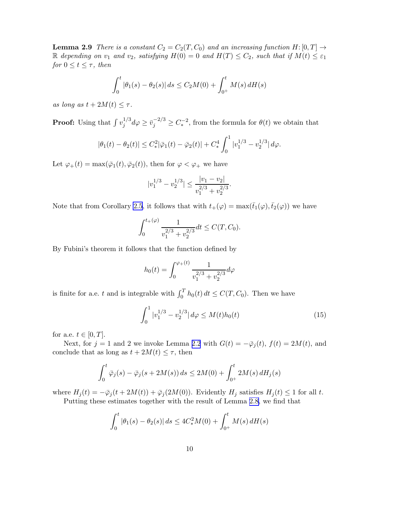**Lemma 2.9** *There is a constant*  $C_2 = C_2(T, C_0)$  *and an increasing function*  $H: [0, T] \rightarrow$ R *depending on*  $v_1$  *and*  $v_2$ *, satisfying*  $H(0) = 0$  *and*  $H(T) \leq C_2$ *, such that if*  $M(t) \leq \varepsilon_1$ *for*  $0 \le t \le \tau$ *, then* 

$$
\int_0^t |\theta_1(s) - \theta_2(s)| ds \le C_2 M(0) + \int_0^t M(s) dH(s)
$$

*as long as*  $t + 2M(t) \leq \tau$ .

**Proof:** Using that  $\int v_i^{1/3}$  $j^{1/3} d\varphi \geq \bar{v}_j^{-2/3} \geq C_*^{-2}$ , from the formula for  $\theta(t)$  we obtain that

$$
|\theta_1(t) - \theta_2(t)| \le C_*^2 |\bar{\varphi}_1(t) - \bar{\varphi}_2(t)| + C_*^4 \int_0^1 |v_1^{1/3} - v_2^{1/3}| \, d\varphi.
$$

Let  $\varphi_+(t) = \max(\bar{\varphi}_1(t), \bar{\varphi}_2(t))$ , then for  $\varphi < \varphi_+$  we have

$$
|v_1^{1/3} - v_2^{1/3}| \le \frac{|v_1 - v_2|}{v_1^{2/3} + v_2^{2/3}}.
$$

Note that from Corollary [2.5](#page-7-0), it follows that with  $t_+(\varphi) = \max(\bar{t}_1(\varphi), \bar{t}_2(\varphi))$  we have

$$
\int_0^{t_+(\varphi)} \frac{1}{v_1^{2/3} + v_2^{2/3}} dt \le C(T, C_0).
$$

By Fubini's theorem it follows that the function defined by

$$
h_0(t) = \int_0^{\varphi_+(t)} \frac{1}{v_1^{2/3} + v_2^{2/3}} d\varphi
$$

is finite for a.e. t and is integrable with  $\int_0^T h_0(t) dt \le C(T, C_0)$ . Then we have

$$
\int_0^1 |v_1^{1/3} - v_2^{1/3}| \, d\varphi \le M(t) h_0(t) \tag{15}
$$

for a.e.  $t \in [0, T]$ .

Next, for  $j = 1$  and 2 we invoke Lemma [2.2](#page-5-0) with  $G(t) = -\overline{\varphi}_j(t)$ ,  $f(t) = 2M(t)$ , and conclude that as long as  $t + 2M(t) \leq \tau$ , then

$$
\int_0^t \bar{\varphi}_j(s) - \bar{\varphi}_j(s + 2M(s)) ds \le 2M(0) + \int_{0^+}^t 2M(s) dH_j(s)
$$

where  $H_j(t) = -\bar{\varphi}_j(t + 2M(t)) + \bar{\varphi}_j(2M(0))$ . Evidently  $H_j$  satisfies  $H_j(t) \leq 1$  for all t. Putting these estimates together with the result of Lemma [2.8,](#page-8-0) we find that

$$
\int_0^t |\theta_1(s) - \theta_2(s)| ds \le 4C_*^2 M(0) + \int_{0^+}^t M(s) dH(s)
$$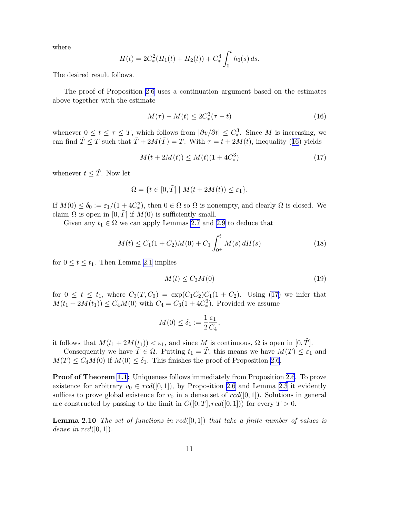where

$$
H(t) = 2C_*^2(H_1(t) + H_2(t)) + C_*^4 \int_0^t h_0(s) ds.
$$

The desired result follows.

The proof of Proposition [2.6](#page-7-0) uses a continuation argument based on the estimates above together with the estimate

$$
M(\tau) - M(t) \le 2C_*^3(\tau - t)
$$
\n(16)

whenever  $0 \le t \le \tau \le T$ , which follows from  $|\partial v/\partial t| \le C_*^3$ . Since M is increasing, we can find  $\tilde{T} \leq T$  such that  $\tilde{T} + 2M(\tilde{T}) = T$ . With  $\tau = t + 2M(t)$ , inequality (16) yields

$$
M(t + 2M(t)) \le M(t)(1 + 4C_*^3)
$$
\n(17)

whenever  $t \leq \tilde{T}$ . Now let

$$
\Omega = \{ t \in [0, \tilde{T}] \mid M(t + 2M(t)) \le \varepsilon_1 \}.
$$

If  $M(0) \leq \delta_0 := \varepsilon_1/(1+4C_*^3)$ , then  $0 \in \Omega$  so  $\Omega$  is nonempty, and clearly  $\Omega$  is closed. We claim  $\Omega$  is open in  $[0, T]$  if  $M(0)$  is sufficiently small.

Given any  $t_1 \in \Omega$  we can apply Lemmas [2.7](#page-7-0) and [2.9](#page-8-0) to deduce that

$$
M(t) \le C_1(1+C_2)M(0) + C_1 \int_{0^+}^t M(s) dH(s)
$$
\n(18)

for  $0 \le t \le t_1$ . Then Lemma [2.1](#page-4-0) implies

$$
M(t) \le C_3 M(0) \tag{19}
$$

for  $0 \leq t \leq t_1$ , where  $C_3(T, C_0) = \exp(C_1 C_2)C_1(1 + C_2)$ . Using (17) we infer that  $M(t_1 + 2M(t_1)) \le C_4 M(0)$  with  $C_4 = C_3(1 + 4C_*^3)$ . Provided we assume

$$
M(0) \le \delta_1 := \frac{1}{2} \frac{\varepsilon_1}{C_4},
$$

it follows that  $M(t_1 + 2M(t_1)) < \varepsilon_1$ , and since M is continuous,  $\Omega$  is open in  $[0, \tilde{T}]$ .

Consequently we have  $\tilde{T} \in \Omega$ . Putting  $t_1 = \tilde{T}$ , this means we have  $M(T) \leq \varepsilon_1$  and  $M(T) \leq C_4 M(0)$  if  $M(0) \leq \delta_1$ . This finishes the proof of Proposition [2.6](#page-7-0).

**Proof of Theorem [1.1](#page-2-0):** Uniqueness follows immediately from Proposition [2.6](#page-7-0). To prove existence for arbitrary  $v_0 \in red([0, 1])$ , by Proposition [2.6](#page-7-0) and Lemma [2.3](#page-6-0) it evidently suffices to prove global existence for  $v_0$  in a dense set of  $rcd([0,1])$ . Solutions in general are constructed by passing to the limit in  $C([0, T], red([0, 1]))$  for every  $T > 0$ .

Lemma 2.10 *The set of functions in* rcd([0, 1]) *that take a finite number of values is dense in*  $rcd([0,1])$ .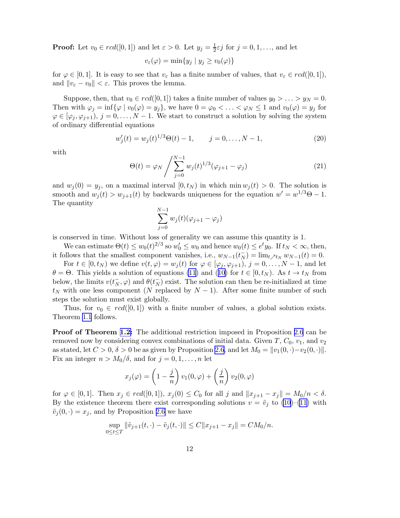**Proof:** Let  $v_0 \in red([0,1])$  and let  $\varepsilon > 0$ . Let  $y_j = \frac{1}{2}$  $\frac{1}{2}\varepsilon j$  for  $j = 0, 1, \ldots$ , and let

$$
v_{\varepsilon}(\varphi) = \min\{y_j \mid y_j \ge v_0(\varphi)\}\
$$

for  $\varphi \in [0,1]$ . It is easy to see that  $v_{\varepsilon}$  has a finite number of values, that  $v_{\varepsilon} \in red([0,1]),$ and  $||v_{\varepsilon} - v_0|| < \varepsilon$ . This proves the lemma.

Suppose, then, that  $v_0 \in red([0, 1])$  takes a finite number of values  $y_0 > \ldots > y_N = 0$ . Then with  $\varphi_j = \inf{\varphi \mid v_0(\varphi) = y_j}$ , we have  $0 = \varphi_0 < \ldots < \varphi_N \le 1$  and  $v_0(\varphi) = y_j$  for  $\varphi \in [\varphi_i, \varphi_{i+1}), j = 0, \ldots, N-1$ . We start to construct a solution by solving the system of ordinary differential equations

$$
w_j'(t) = w_j(t)^{1/3}\Theta(t) - 1, \qquad j = 0, \dots, N - 1,
$$
\n(20)

with

$$
\Theta(t) = \varphi_N \left/ \sum_{j=0}^{N-1} w_j(t)^{1/3} (\varphi_{j+1} - \varphi_j) \right. \tag{21}
$$

and  $w_i(0) = y_i$ , on a maximal interval  $[0, t_N)$  in which min  $w_i(t) > 0$ . The solution is smooth and  $w_j(t) > w_{j+1}(t)$  by backwards uniqueness for the equation  $w' = w^{1/3}\Theta - 1$ . The quantity

$$
\sum_{j=0}^{N-1} w_j(t)(\varphi_{j+1} - \varphi_j)
$$

is conserved in time. Without loss of generality we can assume this quantity is 1.

We can estimate  $\Theta(t) \leq w_0(t)^{2/3}$  so  $w'_0 \leq w_0$  and hence  $w_0(t) \leq e^t y_0$ . If  $t_N < \infty$ , then, it follows that the smallest component vanishes, i.e.,  $w_{N-1}(t_N^-) = \lim_{t \nearrow t_N} w_{N-1}(t) = 0$ .

For  $t \in [0, t_N)$  we define  $v(t, \varphi) = w_j(t)$  for  $\varphi \in [\varphi_j, \varphi_{j+1}), j = 0, \ldots, N-1$ , and let  $\theta = \Theta$  $\theta = \Theta$  $\theta = \Theta$ . This yields a solution of equations [\(11](#page-5-0)) and ([10\)](#page-5-0) for  $t \in [0, t_N)$ . As  $t \to t_N$  from below, the limits  $v(t_N^-)$  $\bar{N}_N$ ,  $\varphi$ ) and  $\theta(t_N)$  $\overline{N}_{N}$ ) exist. The solution can then be re-initialized at time  $t_N$  with one less component (N replaced by  $N-1$ ). After some finite number of such steps the solution must exist globally.

Thus, for  $v_0 \in red([0,1])$  with a finite number of values, a global solution exists. Theorem [1.1](#page-2-0) follows.

Proof of Theorem [1.2:](#page-2-0) The additional restriction imposed in Proposition [2.6](#page-7-0) can be removed now by considering convex combinations of initial data. Given T,  $C_0$ ,  $v_1$ , and  $v_2$ as stated, let  $C > 0$ ,  $\delta > 0$  be as given by Proposition [2.6](#page-7-0), and let  $M_0 = ||v_1(0, \cdot) - v_2(0, \cdot)||$ . Fix an integer  $n > M_0/\delta$ , and for  $j = 0, 1, \ldots, n$  let

$$
x_j(\varphi) = \left(1 - \frac{j}{n}\right)v_1(0, \varphi) + \left(\frac{j}{n}\right)v_2(0, \varphi)
$$

for  $\varphi \in [0,1]$ . Then  $x_j \in red([0,1])$ ,  $x_j(0) \leq C_0$  for all j and  $||x_{j+1} - x_j|| = M_0/n < \delta$ . By the existence theorem there exist corresponding solutions  $v = \tilde{v}_j$  to [\(10](#page-5-0))–[\(11\)](#page-5-0) with  $\tilde{v}_j(0, \cdot) = x_j$ , and by Proposition [2.6](#page-7-0) we have

$$
\sup_{0 \le t \le T} \|\tilde{v}_{j+1}(t,\cdot) - \tilde{v}_j(t,\cdot)\| \le C \|x_{j+1} - x_j\| = C M_0/n.
$$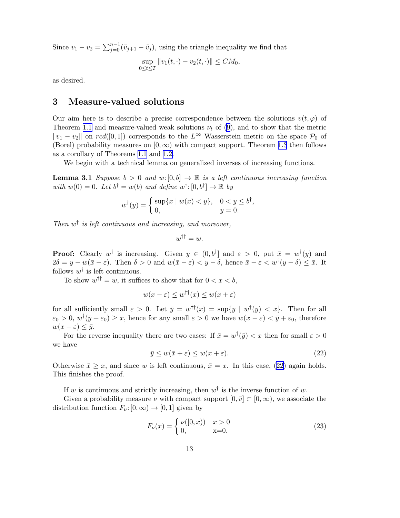<span id="page-12-0"></span>Since  $v_1 - v_2 = \sum_{j=0}^{n-1} (\tilde{v}_{j+1} - \tilde{v}_j)$ , using the triangle inequality we find that

$$
\sup_{0 \le t \le T} ||v_1(t, \cdot) - v_2(t, \cdot)|| \le CM_0,
$$

as desired.

#### 3 Measure-valued solutions

Our aim here is to describe a precise correspondence between the solutions  $v(t, \varphi)$  of Theorem [1.1](#page-2-0) and measure-valued weak solutions  $\nu_t$  of [\(9](#page-3-0)), and to show that the metric  $||v_1 - v_2||$  on rcd([0,1]) corresponds to the L<sup>∞</sup> Wasserstein metric on the space P<sub>0</sub> of (Borel) probability measures on  $[0, \infty)$  with compact support. Theorem [1.3](#page-3-0) then follows as a corollary of Theorems [1.1](#page-2-0) and [1.2.](#page-2-0)

We begin with a technical lemma on generalized inverses of increasing functions.

**Lemma 3.1** *Suppose*  $b > 0$  *and* w:  $[0, b] \rightarrow \mathbb{R}$  *is a left continuous increasing function* with  $w(0) = 0$ . Let  $b^{\dagger} = w(b)$  and define  $w^{\dagger}$ :  $[0, b^{\dagger}] \rightarrow \mathbb{R}$  by

$$
w^{\dagger}(y) = \begin{cases} \sup\{x \mid w(x) < y\}, & 0 < y \le b^{\dagger}, \\ 0, & y = 0. \end{cases}
$$

*Then* w † *is left continuous and increasing, and moreover,*

$$
w^{\dagger\dagger} = w.
$$

**Proof:** Clearly  $w^{\dagger}$  is increasing. Given  $y \in (0, b^{\dagger}]$  and  $\varepsilon > 0$ , put  $\bar{x} = w^{\dagger}(y)$  and  $2\delta = y - w(\bar{x} - \varepsilon)$ . Then  $\delta > 0$  and  $w(\bar{x} - \varepsilon) < y - \delta$ , hence  $\bar{x} - \varepsilon < w^{\dagger}(y - \delta) \leq \bar{x}$ . It follows  $w^{\dagger}$  is left continuous.

To show  $w^{\dagger} = w$ , it suffices to show that for  $0 < x < b$ ,

$$
w(x - \varepsilon) \le w^{\dagger \dagger}(x) \le w(x + \varepsilon)
$$

for all sufficiently small  $\varepsilon > 0$ . Let  $\bar{y} = w^{\dagger \dagger}(x) = \sup\{y \mid w^{\dagger}(y) < x\}$ . Then for all  $\varepsilon_0 > 0$ ,  $w^{\dagger}(\bar{y} + \varepsilon_0) \geq x$ , hence for any small  $\varepsilon > 0$  we have  $w(x - \varepsilon) < \bar{y} + \varepsilon_0$ , therefore  $w(x - \varepsilon) \leq \bar{y}.$ 

For the reverse inequality there are two cases: If  $\bar{x} = w^{\dagger}(\bar{y}) < x$  then for small  $\varepsilon > 0$ we have

$$
\bar{y} \le w(\bar{x} + \varepsilon) \le w(x + \varepsilon). \tag{22}
$$

Otherwise  $\bar{x} \geq x$ , and since w is left continuous,  $\bar{x} = x$ . In this case, (22) again holds. This finishes the proof.

If w is continuous and strictly increasing, then  $w^{\dagger}$  is the inverse function of w.

Given a probability measure  $\nu$  with compact support  $[0, \bar{v}] \subset [0, \infty)$ , we associate the distribution function  $F_{\nu}:[0,\infty) \to [0,1]$  given by

$$
F_{\nu}(x) = \begin{cases} \nu([0, x)) & x > 0\\ 0, & x = 0. \end{cases}
$$
 (23)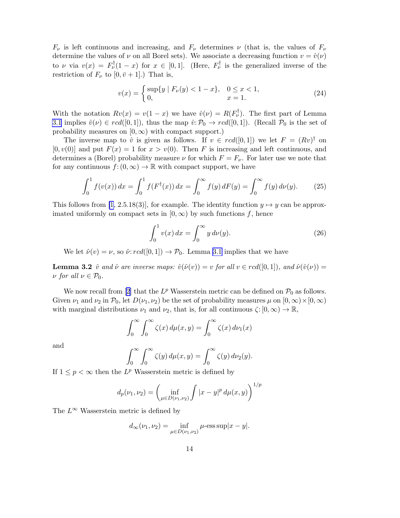<span id="page-13-0"></span> $F_{\nu}$  is left continuous and increasing, and  $F_{\nu}$  determines  $\nu$  (that is, the values of  $F_{\nu}$ ) determine the values of  $\nu$  on all Borel sets). We associate a decreasing function  $v = \hat{v}(\nu)$ to  $\nu$  via  $v(x) = F^{\dagger}_\nu(1-x)$  for  $x \in [0,1]$ . (Here,  $F^{\dagger}_\nu$  is the generalized inverse of the restriction of  $F_{\nu}$  to  $[0, \bar{v} + 1]$ .) That is,

$$
v(x) = \begin{cases} \sup\{y \mid F_{\nu}(y) < 1 - x\}, & 0 \le x < 1, \\ 0, & x = 1. \end{cases} \tag{24}
$$

With the notation  $Rv(x) = v(1-x)$  we have  $\hat{v}(\nu) = R(F_{\nu}^{\dagger})$ . The first part of Lemma [3.1](#page-12-0) implies  $\hat{v}(\nu) \in red([0,1])$ , thus the map  $\hat{v}: \mathcal{P}_0 \to red([0,1])$ . (Recall  $\mathcal{P}_0$  is the set of probability measures on  $[0, \infty)$  with compact support.)

The inverse map to  $\hat{v}$  is given as follows. If  $v \in \text{rcd}([0,1])$  we let  $F = (Rv)^{\dagger}$  on  $[0, v(0)]$  and put  $F(x) = 1$  for  $x > v(0)$ . Then F is increasing and left continuous, and determines a (Borel) probability measure  $\nu$  for which  $F = F_{\nu}$ . For later use we note that for any continuous  $f: (0, \infty) \to \mathbb{R}$  with compact support, we have

$$
\int_0^1 f(v(x)) dx = \int_0^1 f(F^{\dagger}(x)) dx = \int_0^{\infty} f(y) dF(y) = \int_0^{\infty} f(y) d\nu(y).
$$
 (25)

This follows from [\[1,](#page-20-0) 2.5.18(3)], for example. The identity function  $y \mapsto y$  can be approximated uniformly on compact sets in  $[0, \infty)$  by such functions f, hence

$$
\int_0^1 v(x) \, dx = \int_0^\infty y \, d\nu(y). \tag{26}
$$

We let  $\hat{\nu}(v) = \nu$ , so  $\hat{\nu}: rcd([0,1]) \to \mathcal{P}_0$ . Lemma [3.1](#page-12-0) implies that we have

**Lemma 3.2**  $\hat{v}$  *and*  $\hat{\nu}$  *are inverse maps:*  $\hat{v}(\hat{\nu}(v)) = v$  *for all*  $v \in rcd([0, 1]),$  *and*  $\hat{\nu}(\hat{v}(v)) = v$  $\nu$  *for all*  $\nu \in \mathcal{P}_0$ *.* 

Wenow recall from [[2](#page-20-0)] that the  $L^p$  Wasserstein metric can be defined on  $\mathcal{P}_0$  as follows. Given  $\nu_1$  and  $\nu_2$  in  $\mathcal{P}_0$ , let  $D(\nu_1, \nu_2)$  be the set of probability measures  $\mu$  on  $[0, \infty) \times [0, \infty)$ with marginal distributions  $\nu_1$  and  $\nu_2$ , that is, for all continuous  $\zeta: [0,\infty) \to \mathbb{R}$ ,

$$
\int_0^\infty \int_0^\infty \zeta(x) \, d\mu(x, y) = \int_0^\infty \zeta(x) \, d\nu_1(x)
$$

and

$$
\int_0^\infty \int_0^\infty \zeta(y) \, d\mu(x, y) = \int_0^\infty \zeta(y) \, d\nu_2(y).
$$

If  $1 \leq p < \infty$  then the  $L^p$  Wasserstein metric is defined by

$$
d_p(\nu_1, \nu_2) = \left(\inf_{\mu \in D(\nu_1, \nu_2)} \int |x - y|^p \, d\mu(x, y)\right)^{1/p}
$$

The  $L^{\infty}$  Wasserstein metric is defined by

$$
d_{\infty}(\nu_1, \nu_2) = \inf_{\mu \in D(\nu_1, \nu_2)} \mu
$$
-ess sup $|x - y|$ .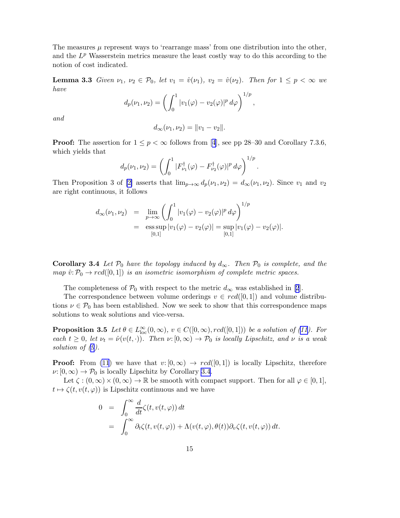<span id="page-14-0"></span>The measures  $\mu$  represent ways to 'rearrange mass' from one distribution into the other, and the  $L^p$  Wasserstein metrics measure the least costly way to do this according to the notion of cost indicated.

**Lemma 3.3** *Given*  $\nu_1, \nu_2 \in \mathcal{P}_0$ *, let*  $v_1 = \hat{v}(\nu_1)$ *,*  $v_2 = \hat{v}(\nu_2)$ *. Then for*  $1 \leq p < \infty$  *we have*

$$
d_p(\nu_1, \nu_2) = \left( \int_0^1 |v_1(\varphi) - v_2(\varphi)|^p \, d\varphi \right)^{1/p},
$$

*and*

$$
d_{\infty}(\nu_1, \nu_2) = ||v_1 - v_2||.
$$

**Proof:**The assertion for  $1 \leq p < \infty$  follows from [[4](#page-20-0)], see pp 28–30 and Corollary 7.3.6, which yields that

$$
d_p(\nu_1, \nu_2) = \left( \int_0^1 |F_{\nu_1}^{\dagger}(\varphi) - F_{\nu_2}^{\dagger}(\varphi)|^p \, d\varphi \right)^{1/p}.
$$

Then Proposition 3 of [\[2\]](#page-20-0) asserts that  $\lim_{p\to\infty} d_p(\nu_1, \nu_2) = d_{\infty}(\nu_1, \nu_2)$ . Since  $v_1$  and  $v_2$ are right continuous, it follows

$$
d_{\infty}(\nu_1, \nu_2) = \lim_{p \to \infty} \left( \int_0^1 |v_1(\varphi) - v_2(\varphi)|^p \, d\varphi \right)^{1/p}
$$
  
=  $\operatorname{ess} \sup_{[0,1]} |v_1(\varphi) - v_2(\varphi)| = \sup_{[0,1]} |v_1(\varphi) - v_2(\varphi)|.$ 

**Corollary 3.4** Let  $\mathcal{P}_0$  have the topology induced by  $d_{\infty}$ . Then  $\mathcal{P}_0$  is complete, and the *map*  $\hat{v}: \mathcal{P}_0 \to \text{rcd}([0,1])$  *is an isometric isomorphism of complete metric spaces.* 

Thecompleteness of  $\mathcal{P}_0$  with respect to the metric  $d_{\infty}$  was established in [[2](#page-20-0)].

The correspondence between volume orderings  $v \in red([0,1])$  and volume distributions  $\nu \in \mathcal{P}_0$  has been established. Now we seek to show that this correspondence maps solutions to weak solutions and vice-versa.

**Proposition3.5** Let  $\theta \in L^{\infty}_{loc}(0, \infty)$ ,  $v \in C([0, \infty), red([0, 1]))$  be a solution of ([11\)](#page-5-0). For *each*  $t \geq 0$ *, let*  $\nu_t = \hat{\nu}(v(t, \cdot))$ *. Then*  $\nu: [0, \infty) \to \mathcal{P}_0$  *is locally Lipschitz, and*  $\nu$  *is a weak solution of([9](#page-3-0)).*

**Proof:** From [\(11](#page-5-0)) we have that  $v: [0, \infty) \rightarrow red([0, 1])$  is locally Lipschitz, therefore  $\nu: [0,\infty) \to \mathcal{P}_0$  is locally Lipschitz by Corollary 3.4.

Let  $\zeta$  :  $(0,\infty) \times (0,\infty) \to \mathbb{R}$  be smooth with compact support. Then for all  $\varphi \in [0,1],$  $t \mapsto \zeta(t, v(t, \varphi))$  is Lipschitz continuous and we have

$$
0 = \int_0^\infty \frac{d}{dt} \zeta(t, v(t, \varphi)) dt
$$
  
= 
$$
\int_0^\infty \partial_t \zeta(t, v(t, \varphi)) + \Lambda(v(t, \varphi), \theta(t)) \partial_v \zeta(t, v(t, \varphi)) dt.
$$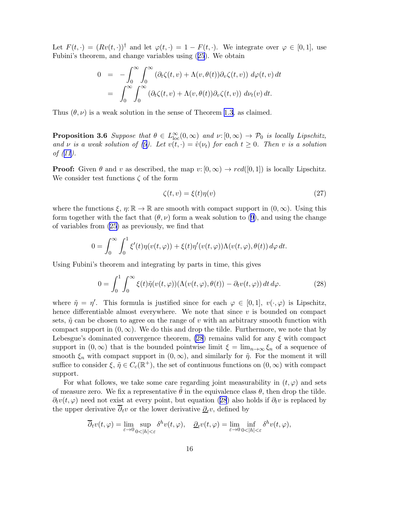<span id="page-15-0"></span>Let  $F(t, \cdot) = (Rv(t, \cdot))^{\dagger}$  and let  $\varphi(t, \cdot) = 1 - F(t, \cdot)$ . We integrate over  $\varphi \in [0, 1]$ , use Fubini's theorem, and change variables using([25](#page-13-0)). We obtain

$$
0 = -\int_0^\infty \int_0^\infty (\partial_t \zeta(t, v) + \Lambda(v, \theta(t)) \partial_v \zeta(t, v)) d\varphi(t, v) dt
$$
  
= 
$$
\int_0^\infty \int_0^\infty (\partial_t \zeta(t, v) + \Lambda(v, \theta(t)) \partial_v \zeta(t, v)) d\nu_t(v) dt.
$$

Thus  $(\theta, \nu)$  is a weak solution in the sense of Theorem [1.3,](#page-3-0) as claimed.

**Proposition 3.6** *Suppose that*  $\theta \in L^{\infty}_{loc}(0,\infty)$  *and*  $\nu:[0,\infty) \to \mathcal{P}_0$  *is locally Lipschitz, and*  $\nu$  *is a weak solution of [\(9\)](#page-3-0). Let*  $v(t, \cdot) = \hat{v}(\nu_t)$  *for each*  $t \geq 0$ *. Then*  $v$  *is a solution of([11\)](#page-5-0).*

**Proof:** Given  $\theta$  and v as described, the map  $v: [0, \infty) \to red([0, 1])$  is locally Lipschitz. We consider test functions  $\zeta$  of the form

$$
\zeta(t,v) = \xi(t)\eta(v) \tag{27}
$$

where the functions  $\xi, \eta: \mathbb{R} \to \mathbb{R}$  are smooth with compact support in  $(0, \infty)$ . Using this formtogether with the fact that  $(\theta, \nu)$  form a weak solution to ([9](#page-3-0)), and using the change of variables from [\(25\)](#page-13-0) as previously, we find that

$$
0 = \int_0^\infty \int_0^1 \xi'(t) \eta(v(t,\varphi)) + \xi(t) \eta'(v(t,\varphi)) \Lambda(v(t,\varphi),\theta(t)) d\varphi dt.
$$

Using Fubini's theorem and integrating by parts in time, this gives

$$
0 = \int_0^1 \int_0^\infty \xi(t)\tilde{\eta}(v(t,\varphi))(\Lambda(v(t,\varphi),\theta(t)) - \partial_t v(t,\varphi))\,dt\,d\varphi.
$$
 (28)

where  $\tilde{\eta} = \eta'$ . This formula is justified since for each  $\varphi \in [0,1], v(\cdot,\varphi)$  is Lipschitz, hence differentiable almost everywhere. We note that since  $v$  is bounded on compact sets,  $\tilde{\eta}$  can be chosen to agree on the range of v with an arbitrary smooth function with compact support in  $(0, \infty)$ . We do this and drop the tilde. Furthermore, we note that by Lebesgue's dominated convergence theorem,  $(28)$  remains valid for any  $\xi$  with compact support in  $(0, \infty)$  that is the bounded pointwise limit  $\xi = \lim_{n\to\infty} \xi_n$  of a sequence of smooth  $\xi_n$  with compact support in  $(0,\infty)$ , and similarly for  $\tilde{\eta}$ . For the moment it will suffice to consider  $\xi, \tilde{\eta} \in C_c(\mathbb{R}^+)$ , the set of continuous functions on  $(0, \infty)$  with compact support.

For what follows, we take some care regarding joint measurability in  $(t, \varphi)$  and sets of measure zero. We fix a representative  $\theta$  in the equivalence class  $\theta$ , then drop the tilde.  $\partial_t v(t, \varphi)$  need not exist at every point, but equation (28) also holds if  $\partial_t v$  is replaced by the upper derivative  $\partial_t v$  or the lower derivative  $\underline{\partial}_t v$ , defined by

$$
\overline{\partial}_t v(t,\varphi) = \lim_{\varepsilon \to 0} \sup_{0 < |h| < \varepsilon} \delta^h v(t,\varphi), \quad \underline{\partial}_t v(t,\varphi) = \lim_{\varepsilon \to 0} \inf_{0 < |h| < \varepsilon} \delta^h v(t,\varphi),
$$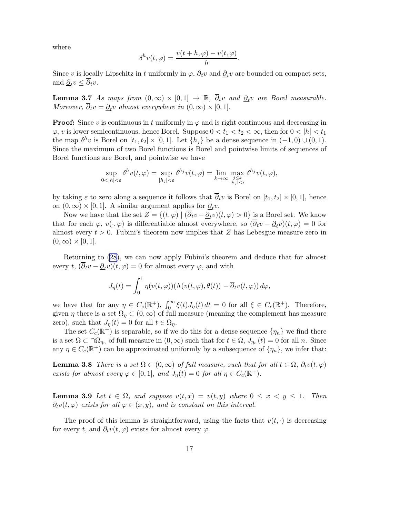<span id="page-16-0"></span>where

$$
\delta^h v(t,\varphi) = \frac{v(t+h,\varphi) - v(t,\varphi)}{h}.
$$

Since v is locally Lipschitz in t uniformly in  $\varphi$ ,  $\partial_t v$  and  $\underline{\partial}_t v$  are bounded on compact sets, and  $\underline{\partial}_t v \leq \partial_t v$ .

Lemma 3.7 *As maps from*  $(0, \infty) \times [0, 1] \rightarrow \mathbb{R}$ ,  $\overline{\partial}_t v$  *and*  $\underline{\partial}_t v$  *are Borel measurable. Moreover,*  $\partial_t v = \underline{\partial}_t v$  *almost everywhere in*  $(0, \infty) \times [0, 1]$ *.* 

**Proof:** Since v is continuous in t uniformly in  $\varphi$  and is right continuous and decreasing in  $\varphi$ , v is lower semicontinuous, hence Borel. Suppose  $0 < t_1 < t_2 < \infty$ , then for  $0 < |h| < t_1$ the map  $\delta^h v$  is Borel on  $[t_1, t_2] \times [0, 1]$ . Let  $\{h_j\}$  be a dense sequence in  $(-1, 0) \cup (0, 1)$ . Since the maximum of two Borel functions is Borel and pointwise limits of sequences of Borel functions are Borel, and pointwise we have

$$
\sup_{0<|h|<\varepsilon} \delta^{h}v(t,\varphi) = \sup_{|h_j|<\varepsilon} \delta^{h_j}v(t,\varphi) = \lim_{k\to\infty} \max_{\substack{j\leq k \\ |h_j|<\varepsilon}} \delta^{h_j}v(t,\varphi),
$$

by taking  $\varepsilon$  to zero along a sequence it follows that  $\overline{\partial}_t v$  is Borel on  $[t_1, t_2] \times [0, 1]$ , hence on  $(0, \infty) \times [0, 1]$ . A similar argument applies for  $\underline{\partial}_t v$ .

Now we have that the set  $Z = \{(t, \varphi) \mid (\partial_t v - \partial_t v)(t, \varphi) > 0\}$  is a Borel set. We know that for each  $\varphi, v(\cdot, \varphi)$  is differentiable almost everywhere, so  $(\overline{\partial_t}v - \partial_t v)(t, \varphi) = 0$  for almost every  $t > 0$ . Fubini's theorem now implies that Z has Lebesgue measure zero in  $(0,\infty) \times [0,1].$ 

Returning to [\(28\)](#page-15-0), we can now apply Fubini's theorem and deduce that for almost every  $t, (\partial_t v - \underline{\partial}_t v)(t, \varphi) = 0$  for almost every  $\varphi$ , and with

$$
J_{\eta}(t) = \int_0^1 \eta(v(t,\varphi))(\Lambda(v(t,\varphi),\theta(t)) - \overline{\partial}_t v(t,\varphi)) d\varphi,
$$

we have that for any  $\eta \in C_c(\mathbb{R}^+), \int_0^\infty \xi(t) J_\eta(t) dt = 0$  for all  $\xi \in C_c(\mathbb{R}^+).$  Therefore, given  $\eta$  there is a set  $\Omega_{\eta} \subset (0,\infty)$  of full measure (meaning the complement has measure zero), such that  $J_{\eta}(t) = 0$  for all  $t \in \Omega_{\eta}$ .

The set  $C_c(\mathbb{R}^+)$  is separable, so if we do this for a dense sequence  $\{\eta_n\}$  we find there is a set  $\Omega \subset \Omega_{\eta_n}$  of full measure in  $(0,\infty)$  such that for  $t \in \Omega$ ,  $J_{\eta_n}(t) = 0$  for all n. Since any  $\eta \in C_c(\mathbb{R}^+)$  can be approximated uniformly by a subsequence of  $\{\eta_n\}$ , we infer that:

**Lemma 3.8** *There is a set*  $\Omega \subset (0,\infty)$  *of full measure, such that for all*  $t \in \Omega$ ,  $\partial_t v(t,\varphi)$ *exists for almost every*  $\varphi \in [0,1]$ *, and*  $J_{\eta}(t) = 0$  *for all*  $\eta \in C_c(\mathbb{R}^+)$ *.* 

**Lemma 3.9** Let  $t \in \Omega$ , and suppose  $v(t, x) = v(t, y)$  where  $0 \le x \le y \le 1$ . Then  $\partial_t v(t,\varphi)$  *exists for all*  $\varphi \in (x,y)$ *, and is constant on this interval.* 

The proof of this lemma is straightforward, using the facts that  $v(t, \cdot)$  is decreasing for every t, and  $\partial_t v(t, \varphi)$  exists for almost every  $\varphi$ .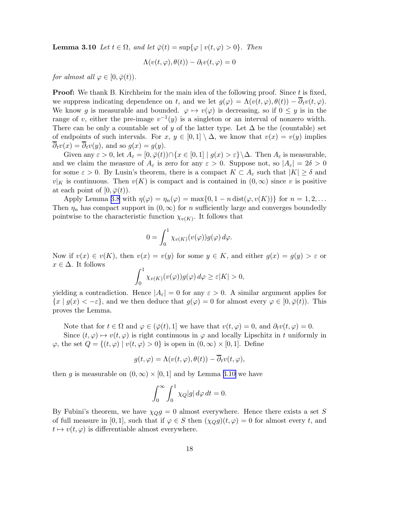<span id="page-17-0"></span>**Lemma 3.10** *Let*  $t \in \Omega$ *, and let*  $\overline{\varphi}(t) = \sup\{\varphi \mid v(t, \varphi) > 0\}$ *. Then* 

$$
\Lambda(v(t,\varphi),\theta(t)) - \partial_t v(t,\varphi) = 0
$$

*for almost all*  $\varphi \in [0, \bar{\varphi}(t))$ *.* 

**Proof:** We thank B. Kirchheim for the main idea of the following proof. Since t is fixed, we suppress indicating dependence on t, and we let  $g(\varphi) = \Lambda(v(t, \varphi), \theta(t)) - \overline{\partial}_t v(t, \varphi)$ . We know g is measurable and bounded.  $\varphi \mapsto v(\varphi)$  is decreasing, so if  $0 \leq y$  is in the range of v, either the pre-image  $v^{-1}(y)$  is a singleton or an interval of nonzero width. There can be only a countable set of y of the latter type. Let  $\Delta$  be the (countable) set of endpoints of such intervals. For  $x, y \in [0,1] \setminus \Delta$ , we know that  $v(x) = v(y)$  implies  $\partial_t v(x) = \partial_t v(y)$ , and so  $g(x) = g(y)$ .

Given any  $\varepsilon > 0$ , let  $A_{\varepsilon} = [0, \bar{\varphi}(t)) \cap \{x \in [0, 1] \mid g(x) > \varepsilon\} \backslash \Delta$ . Then  $A_{\varepsilon}$  is measurable, and we claim the measure of  $A_{\varepsilon}$  is zero for any  $\varepsilon > 0$ . Suppose not, so  $|A_{\varepsilon}| = 2\delta > 0$ for some  $\varepsilon > 0$ . By Lusin's theorem, there is a compact  $K \subset A_{\varepsilon}$  such that  $|K| \geq \delta$  and  $v|_K$  is continuous. Then  $v(K)$  is compact and is contained in  $(0,\infty)$  since v is positive at each point of  $[0,\bar{\varphi}(t))$ .

Apply Lemma [3.8](#page-16-0) with  $\eta(\varphi) = \eta_n(\varphi) = \max\{0, 1 - n \operatorname{dist}(\varphi, v(K))\}$  for  $n = 1, 2, ...$ Then  $\eta_n$  has compact support in  $(0,\infty)$  for n sufficiently large and converges boundedly pointwise to the characteristic function  $\chi_{v(K)}$ . It follows that

$$
0 = \int_0^1 \chi_{v(K)}(v(\varphi))g(\varphi) d\varphi.
$$

Now if  $v(x) \in v(K)$ , then  $v(x) = v(y)$  for some  $y \in K$ , and either  $g(x) = g(y) > \varepsilon$  or  $x \in \Delta$ . It follows

$$
\int_0^1 \chi_{v(K)}(v(\varphi))g(\varphi)\,d\varphi \geq \varepsilon |K| > 0,
$$

yielding a contradiction. Hence  $|A_{\varepsilon}| = 0$  for any  $\varepsilon > 0$ . A similar argument applies for  $\{x \mid g(x) < -\varepsilon\}$ , and we then deduce that  $g(\varphi) = 0$  for almost every  $\varphi \in [0, \overline{\varphi}(t))$ . This proves the Lemma.

Note that for  $t \in \Omega$  and  $\varphi \in (\bar{\varphi}(t), 1]$  we have that  $v(t, \varphi) = 0$ , and  $\partial_t v(t, \varphi) = 0$ .

Since  $(t, \varphi) \mapsto v(t, \varphi)$  is right continuous in  $\varphi$  and locally Lipschitz in t uniformly in  $\varphi$ , the set  $Q = \{(t, \varphi) \mid v(t, \varphi) > 0\}$  is open in  $(0, \infty) \times [0, 1]$ . Define

$$
g(t, \varphi) = \Lambda(v(t, \varphi), \theta(t)) - \overline{\partial}_t v(t, \varphi),
$$

then g is measurable on  $(0, \infty) \times [0, 1]$  and by Lemma [3.10](#page-16-0) we have

$$
\int_0^\infty \int_0^1 \chi_Q|g| \, d\varphi \, dt = 0.
$$

By Fubini's theorem, we have  $\chi_{Q}g = 0$  almost everywhere. Hence there exists a set S of full measure in [0, 1], such that if  $\varphi \in S$  then  $(\chi_Q g)(t, \varphi) = 0$  for almost every t, and  $t \mapsto v(t, \varphi)$  is differentiable almost everywhere.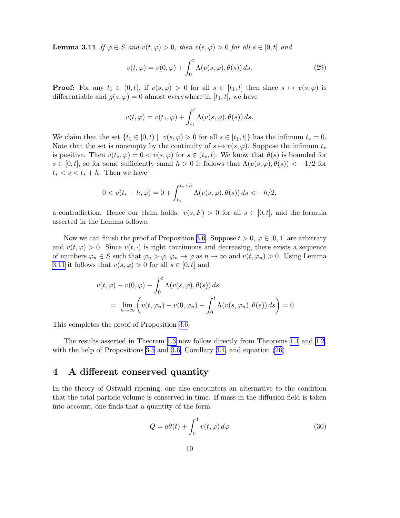<span id="page-18-0"></span>**Lemma 3.11** *If*  $\varphi \in S$  *and*  $v(t, \varphi) > 0$ *, then*  $v(s, \varphi) > 0$  *for all*  $s \in [0, t]$  *and* 

$$
v(t, \varphi) = v(0, \varphi) + \int_0^t \Lambda(v(s, \varphi), \theta(s)) ds.
$$
 (29)

**Proof:** For any  $t_1 \in (0, t)$ , if  $v(s, \varphi) > 0$  for all  $s \in [t_1, t]$  then since  $s \mapsto v(s, \varphi)$  is differentiable and  $g(s, \varphi) = 0$  almost everywhere in  $[t_1, t]$ , we have

$$
v(t,\varphi) = v(t_1,\varphi) + \int_{t_1}^t \Lambda(v(s,\varphi),\theta(s)) ds.
$$

We claim that the set  $\{t_1 \in [0, t) \mid v(s, \varphi) > 0 \text{ for all } s \in [t_1, t] \}$  has the infimum  $t_* = 0$ . Note that the set is nonempty by the continuity of  $s \mapsto v(s, \varphi)$ . Suppose the infimum  $t_*$ is positive. Then  $v(t_*, \varphi) = 0 < v(s, \varphi)$  for  $s \in (t_*, t]$ . We know that  $\theta(s)$  is bounded for  $s \in [0, t]$ , so for some sufficiently small  $h > 0$  it follows that  $\Lambda(v(s, \varphi), \theta(s)) < -1/2$  for  $t_* < s < t_* + h$ . Then we have

$$
0 < v(t_* + h, \varphi) = 0 + \int_{t_*}^{t_* + h} \Lambda(v(s, \varphi), \theta(s)) ds < -h/2,
$$

a contradiction. Hence our claim holds:  $v(s, F) > 0$  for all  $s \in [0, t]$ , and the formula asserted in the Lemma follows.

Now we can finish the proof of Proposition [3.6](#page-15-0). Suppose  $t > 0, \varphi \in [0, 1]$  are arbitrary and  $v(t, \varphi) > 0$ . Since  $v(t, \cdot)$  is right continuous and decreasing, there exists a sequence of numbers  $\varphi_n \in S$  such that  $\varphi_n > \varphi, \varphi_n \to \varphi$  as  $n \to \infty$  and  $v(t, \varphi_n) > 0$ . Using Lemma [3.11](#page-17-0) it follows that  $v(s, \varphi) > 0$  for all  $s \in [0, t]$  and

$$
v(t, \varphi) - v(0, \varphi) - \int_0^t \Lambda(v(s, \varphi), \theta(s)) ds
$$
  
= 
$$
\lim_{n \to \infty} \left( v(t, \varphi_n) - v(0, \varphi_n) - \int_0^t \Lambda(v(s, \varphi_n), \theta(s)) ds \right) = 0.
$$

This completes the proof of Proposition [3.6](#page-15-0).

The results asserted in Theorem [1.3](#page-3-0) now follow directly from Theorems [1.1](#page-2-0) and [1.2,](#page-2-0) with the help of Propositions [3.5](#page-14-0) and [3.6,](#page-15-0) Corollary [3.4,](#page-14-0) and equation  $(26)$ .

#### 4 A different conserved quantity

In the theory of Ostwald ripening, one also encounters an alternative to the condition that the total particle volume is conserved in time. If mass in the diffusion field is taken into account, one finds that a quantity of the form

$$
Q = a\theta(t) + \int_0^1 v(t, \varphi) d\varphi \tag{30}
$$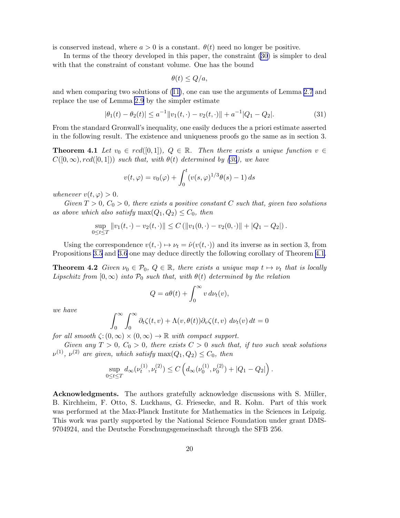is conserved instead, where  $a > 0$  is a constant.  $\theta(t)$  need no longer be positive.

In terms of the theory developed in this paper, the constraint [\(30](#page-18-0)) is simpler to deal with that the constraint of constant volume. One has the bound

$$
\theta(t) \le Q/a,
$$

and when comparing two solutions of [\(11\)](#page-5-0), one can use the arguments of Lemma [2.7](#page-7-0) and replace the use of Lemma [2.9](#page-8-0) by the simpler estimate

$$
|\theta_1(t) - \theta_2(t)| \le a^{-1} \|v_1(t, \cdot) - v_2(t, \cdot)\| + a^{-1} |Q_1 - Q_2|.
$$
 (31)

From the standard Gronwall's inequality, one easily deduces the a priori estimate asserted in the following result. The existence and uniqueness proofs go the same as in section 3.

**Theorem 4.1** Let  $v_0 \in red([0,1])$ ,  $Q \in \mathbb{R}$ . Then there exists a unique function  $v \in$  $C([0,\infty), red([0,1]))$  *such that, with*  $\theta(t)$  *determined by* [\(30](#page-18-0)), we have

$$
v(t,\varphi) = v_0(\varphi) + \int_0^t (v(s,\varphi)^{1/3}\theta(s) - 1) ds
$$

*whenever*  $v(t, \varphi) > 0$ .

 $Given T > 0, C_0 > 0, there exists a positive constant C such that, given two solutions$ *as above which also satisfy*  $\max(Q_1, Q_2) \leq C_0$ , then

$$
\sup_{0 \leq t \leq T} ||v_1(t, \cdot) - v_2(t, \cdot)|| \leq C \left( ||v_1(0, \cdot) - v_2(0, \cdot)|| + |Q_1 - Q_2|| \right).
$$

Using the correspondence  $v(t, \cdot) \mapsto \nu_t = \hat{\nu}(v(t, \cdot))$  and its inverse as in section 3, from Propositions [3.5](#page-14-0) and [3.6](#page-15-0) one may deduce directly the following corollary of Theorem 4.1.

**Theorem 4.2** *Given*  $\nu_0 \in \mathcal{P}_0$ ,  $Q \in \mathbb{R}$ *, there exists a unique map*  $t \mapsto \nu_t$  *that is locally Lipschitz from*  $[0, \infty)$  *into*  $\mathcal{P}_0$  *such that, with*  $\theta(t)$  *determined by the relation* 

$$
Q = a\theta(t) + \int_0^\infty v \, d\nu_t(v),
$$

*we have*

$$
\int_0^\infty \int_0^\infty \partial_t \zeta(t, v) + \Lambda(v, \theta(t)) \partial_v \zeta(t, v) \, d\nu_t(v) \, dt = 0
$$

*for all smooth*  $\zeta$ :  $(0,\infty) \times (0,\infty) \to \mathbb{R}$  *with compact support.* 

*Given any*  $T > 0$ ,  $C_0 > 0$ , there exists  $C > 0$  such that, if two such weak solutions  $\nu^{(1)}$ ,  $\nu^{(2)}$  are given, which satisfy  $\max(Q_1, Q_2) \leq C_0$ , then

$$
\sup_{0 \le t \le T} d_{\infty}(\nu_t^{(1)}, \nu_t^{(2)}) \le C\left(d_{\infty}(\nu_0^{(1)}, \nu_0^{(2)}) + |Q_1 - Q_2|\right).
$$

Acknowledgments. The authors gratefully acknowledge discussions with S. Müller, B. Kirchheim, F. Otto, S. Luckhaus, G. Friesecke, and R. Kohn. Part of this work was performed at the Max-Planck Institute for Mathematics in the Sciences in Leipzig. This work was partly supported by the National Science Foundation under grant DMS-9704924, and the Deutsche Forschungsgemeinschaft through the SFB 256.